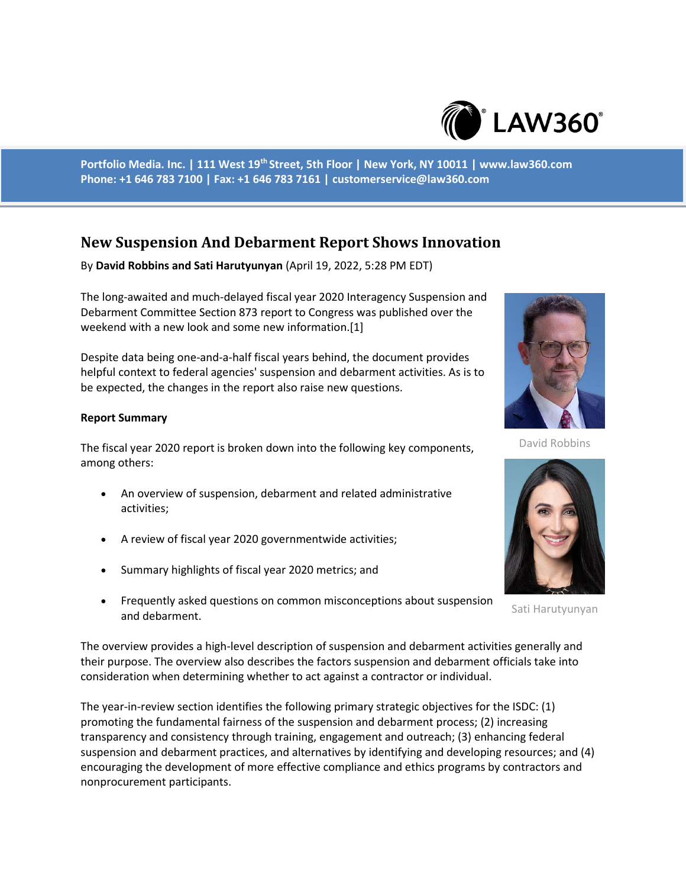

**Portfolio Media. Inc. | 111 West 19th Street, 5th Floor | New York, NY 10011 | www.law360.com Phone: +1 646 783 7100 | Fax: +1 646 783 7161 | customerservice@law360.com**

## **New Suspension And Debarment Report Shows Innovation**

By **David Robbins and Sati Harutyunyan** (April 19, 2022, 5:28 PM EDT)

The long-awaited and much-delayed fiscal year 2020 Interagency Suspension and Debarment Committee Section 873 report to Congress was published over the weekend with a new look and some new information.[1]

Despite data being one-and-a-half fiscal years behind, the document provides helpful context to federal agencies' suspension and debarment activities. As is to be expected, the changes in the report also raise new questions.

## **Report Summary**

The fiscal year 2020 report is broken down into the following key components, among others:

- An overview of suspension, debarment and related administrative activities;
- A review of fiscal year 2020 governmentwide activities;
- Summary highlights of fiscal year 2020 metrics; and
- Frequently asked questions on common misconceptions about suspension and debarment.

The overview provides a high-level description of suspension and debarment activities generally and their purpose. The overview also describes the factors suspension and debarment officials take into consideration when determining whether to act against a contractor or individual.

The year-in-review section identifies the following primary strategic objectives for the ISDC: (1) promoting the fundamental fairness of the suspension and debarment process; (2) increasing transparency and consistency through training, engagement and outreach; (3) enhancing federal suspension and debarment practices, and alternatives by identifying and developing resources; and (4) encouraging the development of more effective compliance and ethics programs by contractors and nonprocurement participants.



David Robbins



Sati Harutyunyan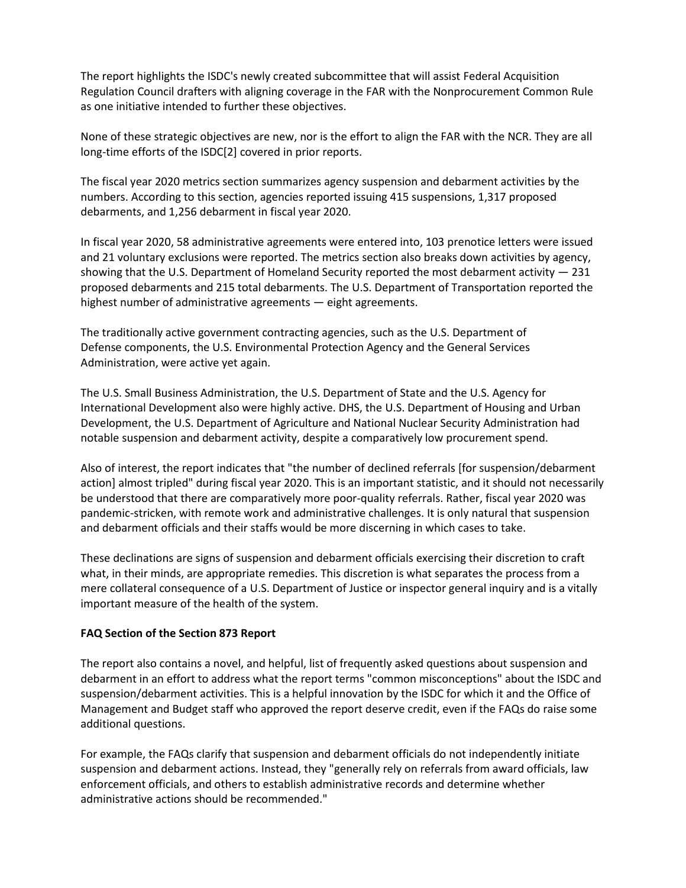The report highlights the ISDC's newly created subcommittee that will assist Federal Acquisition Regulation Council drafters with aligning coverage in the FAR with the Nonprocurement Common Rule as one initiative intended to further these objectives.

None of these strategic objectives are new, nor is the effort to align the FAR with the NCR. They are all long-time efforts of the ISDC[2] covered in prior reports.

The fiscal year 2020 metrics section summarizes agency suspension and debarment activities by the numbers. According to this section, agencies reported issuing 415 suspensions, 1,317 proposed debarments, and 1,256 debarment in fiscal year 2020.

In fiscal year 2020, 58 administrative agreements were entered into, 103 prenotice letters were issued and 21 voluntary exclusions were reported. The metrics section also breaks down activities by agency, showing that the U.S. Department of Homeland Security reported the most debarment activity — 231 proposed debarments and 215 total debarments. The U.S. Department of Transportation reported the highest number of administrative agreements — eight agreements.

The traditionally active government contracting agencies, such as the U.S. Department of Defense components, the U.S. Environmental Protection Agency and the General Services Administration, were active yet again.

The U.S. Small Business Administration, the U.S. Department of State and the U.S. Agency for International Development also were highly active. DHS, the U.S. Department of Housing and Urban Development, the U.S. Department of Agriculture and National Nuclear Security Administration had notable suspension and debarment activity, despite a comparatively low procurement spend.

Also of interest, the report indicates that "the number of declined referrals [for suspension/debarment action] almost tripled" during fiscal year 2020. This is an important statistic, and it should not necessarily be understood that there are comparatively more poor-quality referrals. Rather, fiscal year 2020 was pandemic-stricken, with remote work and administrative challenges. It is only natural that suspension and debarment officials and their staffs would be more discerning in which cases to take.

These declinations are signs of suspension and debarment officials exercising their discretion to craft what, in their minds, are appropriate remedies. This discretion is what separates the process from a mere collateral consequence of a U.S. Department of Justice or inspector general inquiry and is a vitally important measure of the health of the system.

## **FAQ Section of the Section 873 Report**

The report also contains a novel, and helpful, list of frequently asked questions about suspension and debarment in an effort to address what the report terms "common misconceptions" about the ISDC and suspension/debarment activities. This is a helpful innovation by the ISDC for which it and the Office of Management and Budget staff who approved the report deserve credit, even if the FAQs do raise some additional questions.

For example, the FAQs clarify that suspension and debarment officials do not independently initiate suspension and debarment actions. Instead, they "generally rely on referrals from award officials, law enforcement officials, and others to establish administrative records and determine whether administrative actions should be recommended."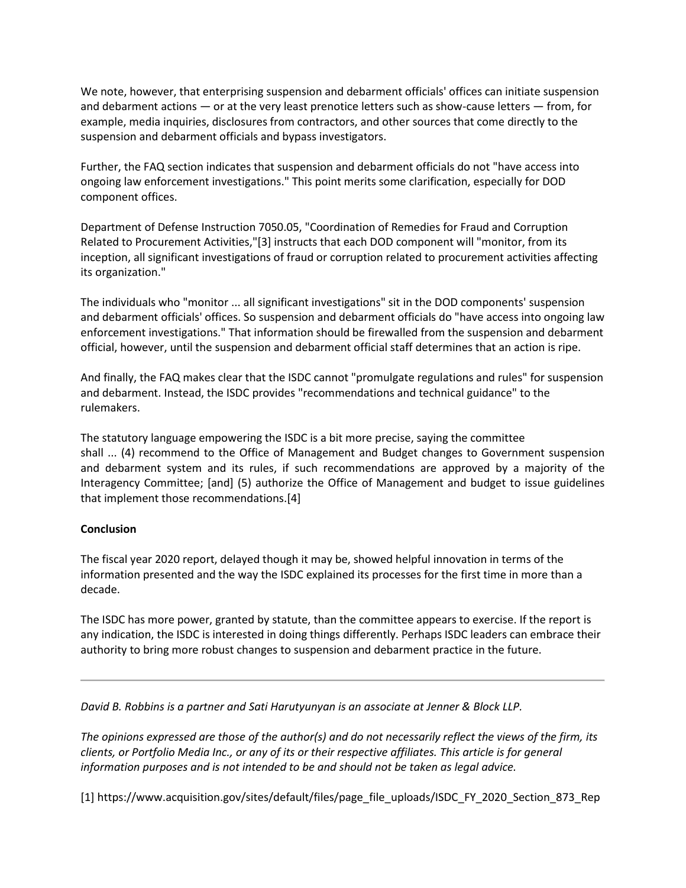We note, however, that enterprising suspension and debarment officials' offices can initiate suspension and debarment actions — or at the very least prenotice letters such as show-cause letters — from, for example, media inquiries, disclosures from contractors, and other sources that come directly to the suspension and debarment officials and bypass investigators.

Further, the FAQ section indicates that suspension and debarment officials do not "have access into ongoing law enforcement investigations." This point merits some clarification, especially for DOD component offices.

Department of Defense Instruction 7050.05, "Coordination of Remedies for Fraud and Corruption Related to Procurement Activities,"[3] instructs that each DOD component will "monitor, from its inception, all significant investigations of fraud or corruption related to procurement activities affecting its organization."

The individuals who "monitor ... all significant investigations" sit in the DOD components' suspension and debarment officials' offices. So suspension and debarment officials do "have access into ongoing law enforcement investigations." That information should be firewalled from the suspension and debarment official, however, until the suspension and debarment official staff determines that an action is ripe.

And finally, the FAQ makes clear that the ISDC cannot "promulgate regulations and rules" for suspension and debarment. Instead, the ISDC provides "recommendations and technical guidance" to the rulemakers.

The statutory language empowering the ISDC is a bit more precise, saying the committee shall ... (4) recommend to the Office of Management and Budget changes to Government suspension and debarment system and its rules, if such recommendations are approved by a majority of the Interagency Committee; [and] (5) authorize the Office of Management and budget to issue guidelines that implement those recommendations.[4]

## **Conclusion**

The fiscal year 2020 report, delayed though it may be, showed helpful innovation in terms of the information presented and the way the ISDC explained its processes for the first time in more than a decade.

The ISDC has more power, granted by statute, than the committee appears to exercise. If the report is any indication, the ISDC is interested in doing things differently. Perhaps ISDC leaders can embrace their authority to bring more robust changes to suspension and debarment practice in the future.

*David B. Robbins is a partner and Sati Harutyunyan is an associate at Jenner & Block LLP.*

*The opinions expressed are those of the author(s) and do not necessarily reflect the views of the firm, its clients, or Portfolio Media Inc., or any of its or their respective affiliates. This article is for general information purposes and is not intended to be and should not be taken as legal advice.*

[1] https://www.acquisition.gov/sites/default/files/page\_file\_uploads/ISDC\_FY\_2020\_Section\_873\_Rep